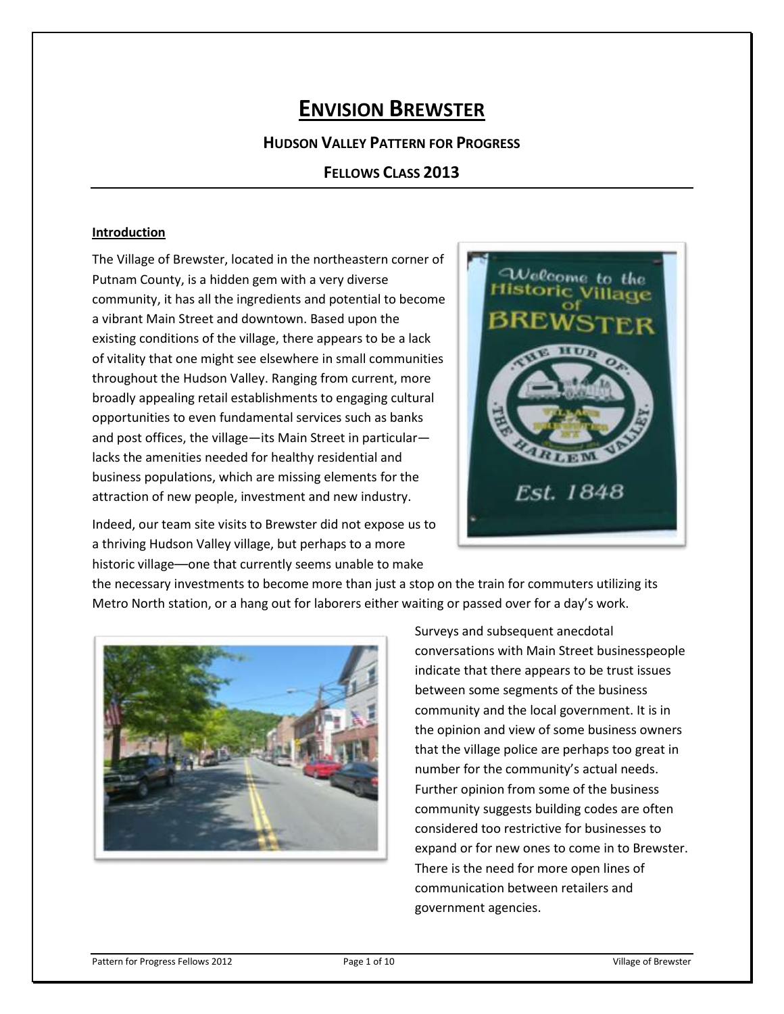# **ENVISION BREWSTER**

**HUDSON VALLEY PATTERN FOR PROGRESS**

**FELLOWS CLASS 2013**

#### **Introduction**

The Village of Brewster, located in the northeastern corner of Putnam County, is a hidden gem with a very diverse community, it has all the ingredients and potential to become a vibrant Main Street and downtown. Based upon the existing conditions of the village, there appears to be a lack of vitality that one might see elsewhere in small communities throughout the Hudson Valley. Ranging from current, more broadly appealing retail establishments to engaging cultural opportunities to even fundamental services such as banks and post offices, the village—its Main Street in particular lacks the amenities needed for healthy residential and business populations, which are missing elements for the attraction of new people, investment and new industry.



Indeed, our team site visits to Brewster did not expose us to a thriving Hudson Valley village, but perhaps to a more historic village––one that currently seems unable to make

the necessary investments to become more than just a stop on the train for commuters utilizing its Metro North station, or a hang out for laborers either waiting or passed over for a day's work.



Surveys and subsequent anecdotal conversations with Main Street businesspeople indicate that there appears to be trust issues between some segments of the business community and the local government. It is in the opinion and view of some business owners that the village police are perhaps too great in number for the community's actual needs. Further opinion from some of the business community suggests building codes are often considered too restrictive for businesses to expand or for new ones to come in to Brewster. There is the need for more open lines of communication between retailers and government agencies.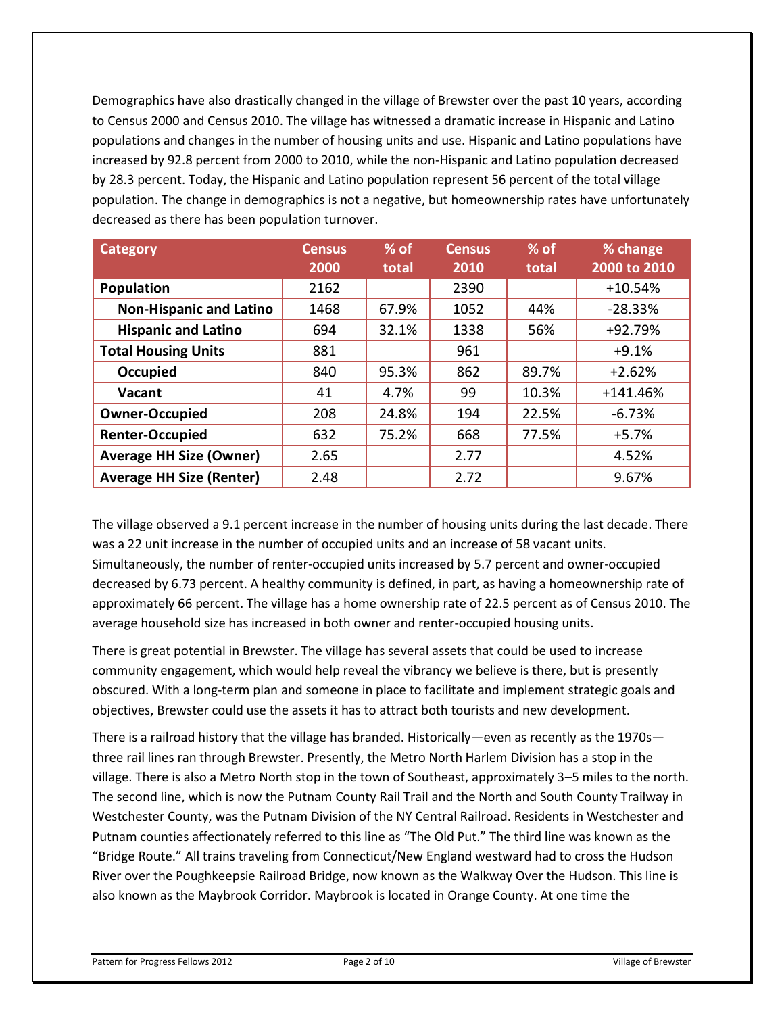Demographics have also drastically changed in the village of Brewster over the past 10 years, according to Census 2000 and Census 2010. The village has witnessed a dramatic increase in Hispanic and Latino populations and changes in the number of housing units and use. Hispanic and Latino populations have increased by 92.8 percent from 2000 to 2010, while the non-Hispanic and Latino population decreased by 28.3 percent. Today, the Hispanic and Latino population represent 56 percent of the total village population. The change in demographics is not a negative, but homeownership rates have unfortunately decreased as there has been population turnover.

| <b>Category</b>                 | <b>Census</b> | $%$ of | <b>Census</b> | $%$ of | % change     |
|---------------------------------|---------------|--------|---------------|--------|--------------|
|                                 | 2000          | total  | 2010          | total  | 2000 to 2010 |
| <b>Population</b>               | 2162          |        | 2390          |        | $+10.54%$    |
| <b>Non-Hispanic and Latino</b>  | 1468          | 67.9%  | 1052          | 44%    | $-28.33%$    |
| <b>Hispanic and Latino</b>      | 694           | 32.1%  | 1338          | 56%    | +92.79%      |
| <b>Total Housing Units</b>      | 881           |        | 961           |        | $+9.1%$      |
| <b>Occupied</b>                 | 840           | 95.3%  | 862           | 89.7%  | $+2.62%$     |
| Vacant                          | 41            | 4.7%   | 99            | 10.3%  | $+141.46%$   |
| <b>Owner-Occupied</b>           | 208           | 24.8%  | 194           | 22.5%  | $-6.73%$     |
| <b>Renter-Occupied</b>          | 632           | 75.2%  | 668           | 77.5%  | $+5.7%$      |
| <b>Average HH Size (Owner)</b>  | 2.65          |        | 2.77          |        | 4.52%        |
| <b>Average HH Size (Renter)</b> | 2.48          |        | 2.72          |        | 9.67%        |

The village observed a 9.1 percent increase in the number of housing units during the last decade. There was a 22 unit increase in the number of occupied units and an increase of 58 vacant units. Simultaneously, the number of renter-occupied units increased by 5.7 percent and owner-occupied decreased by 6.73 percent. A healthy community is defined, in part, as having a homeownership rate of approximately 66 percent. The village has a home ownership rate of 22.5 percent as of Census 2010. The average household size has increased in both owner and renter-occupied housing units.

There is great potential in Brewster. The village has several assets that could be used to increase community engagement, which would help reveal the vibrancy we believe is there, but is presently obscured. With a long-term plan and someone in place to facilitate and implement strategic goals and objectives, Brewster could use the assets it has to attract both tourists and new development.

There is a railroad history that the village has branded. Historically—even as recently as the 1970s three rail lines ran through Brewster. Presently, the Metro North Harlem Division has a stop in the village. There is also a Metro North stop in the town of Southeast, approximately 3–5 miles to the north. The second line, which is now the Putnam County Rail Trail and the North and South County Trailway in Westchester County, was the Putnam Division of the NY Central Railroad. Residents in Westchester and Putnam counties affectionately referred to this line as "The Old Put." The third line was known as the "Bridge Route." All trains traveling from Connecticut/New England westward had to cross the Hudson River over the Poughkeepsie Railroad Bridge, now known as the Walkway Over the Hudson. This line is also known as the Maybrook Corridor. Maybrook is located in Orange County. At one time the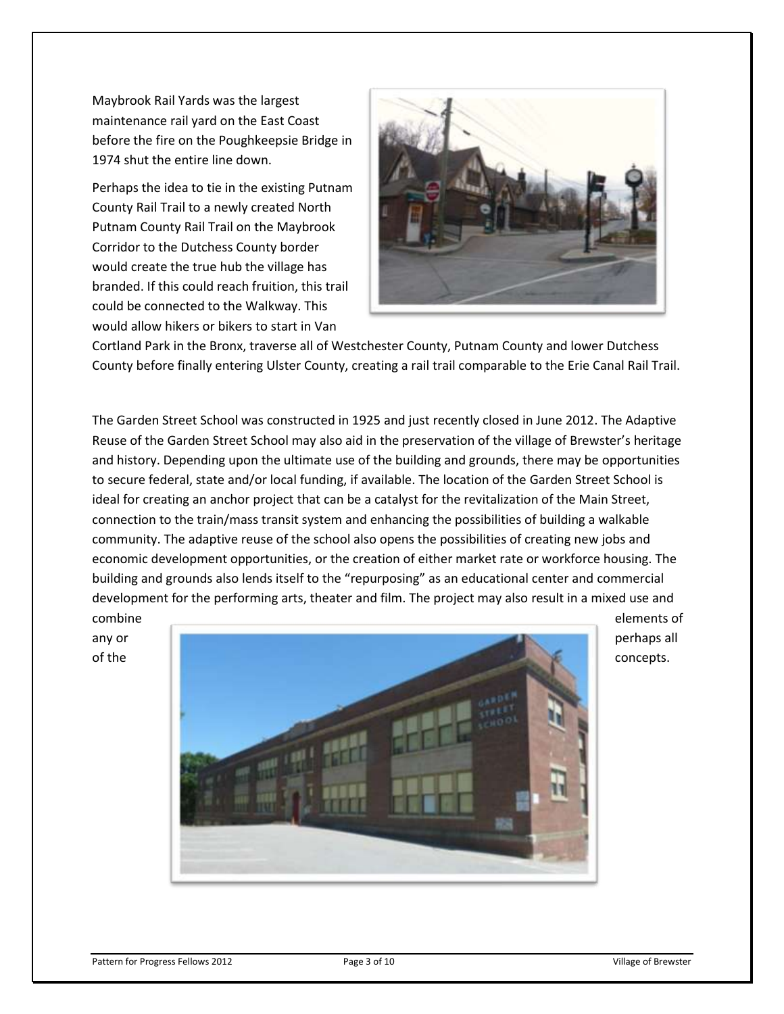Maybrook Rail Yards was the largest maintenance rail yard on the East Coast before the fire on the Poughkeepsie Bridge in 1974 shut the entire line down.

Perhaps the idea to tie in the existing Putnam County Rail Trail to a newly created North Putnam County Rail Trail on the Maybrook Corridor to the Dutchess County border would create the true hub the village has branded. If this could reach fruition, this trail could be connected to the Walkway. This would allow hikers or bikers to start in Van



Cortland Park in the Bronx, traverse all of Westchester County, Putnam County and lower Dutchess County before finally entering Ulster County, creating a rail trail comparable to the Erie Canal Rail Trail.

The Garden Street School was constructed in 1925 and just recently closed in June 2012. The Adaptive Reuse of the Garden Street School may also aid in the preservation of the village of Brewster's heritage and history. Depending upon the ultimate use of the building and grounds, there may be opportunities to secure federal, state and/or local funding, if available. The location of the Garden Street School is ideal for creating an anchor project that can be a catalyst for the revitalization of the Main Street, connection to the train/mass transit system and enhancing the possibilities of building a walkable community. The adaptive reuse of the school also opens the possibilities of creating new jobs and economic development opportunities, or the creation of either market rate or workforce housing. The building and grounds also lends itself to the "repurposing" as an educational center and commercial development for the performing arts, theater and film. The project may also result in a mixed use and

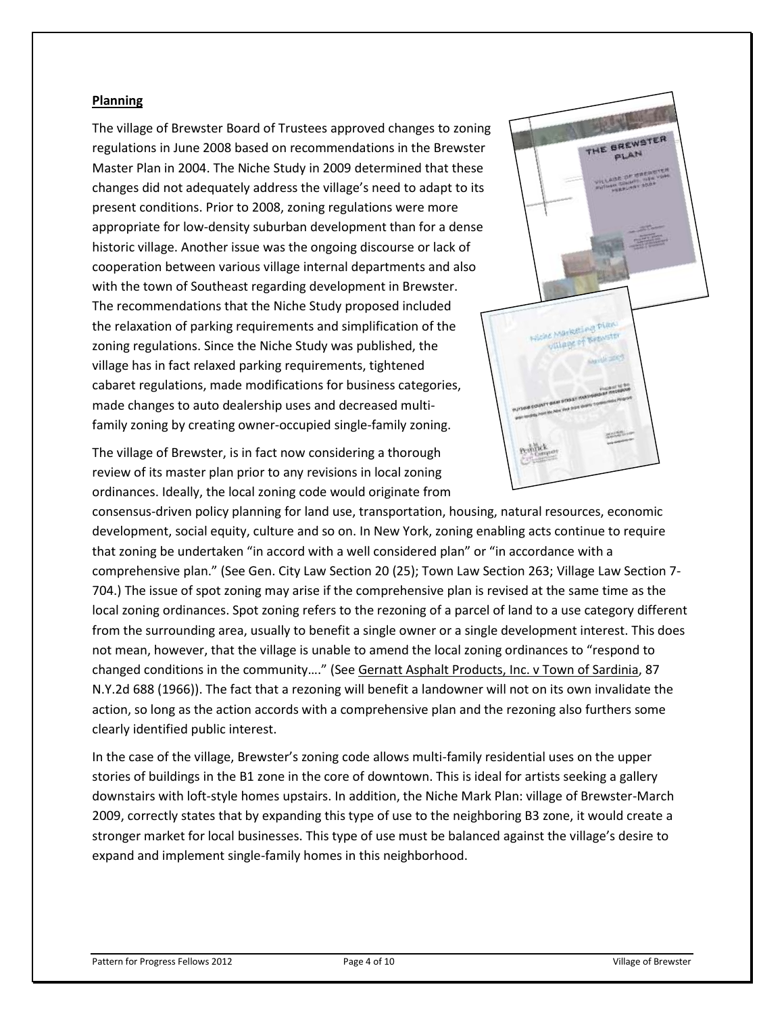#### **Planning**

The village of Brewster Board of Trustees approved changes to zoning regulations in June 2008 based on recommendations in the Brewster Master Plan in 2004. The Niche Study in 2009 determined that these changes did not adequately address the village's need to adapt to its present conditions. Prior to 2008, zoning regulations were more appropriate for low-density suburban development than for a dense historic village. Another issue was the ongoing discourse or lack of cooperation between various village internal departments and also with the town of Southeast regarding development in Brewster. The recommendations that the Niche Study proposed included the relaxation of parking requirements and simplification of the zoning regulations. Since the Niche Study was published, the village has in fact relaxed parking requirements, tightened cabaret regulations, made modifications for business categories, made changes to auto dealership uses and decreased multifamily zoning by creating owner-occupied single-family zoning.

The village of Brewster, is in fact now considering a thorough review of its master plan prior to any revisions in local zoning ordinances. Ideally, the local zoning code would originate from



consensus-driven policy planning for land use, transportation, housing, natural resources, economic development, social equity, culture and so on. In New York, zoning enabling acts continue to require that zoning be undertaken "in accord with a well considered plan" or "in accordance with a comprehensive plan." (See Gen. City Law Section 20 (25); Town Law Section 263; Village Law Section 7- 704.) The issue of spot zoning may arise if the comprehensive plan is revised at the same time as the local zoning ordinances. Spot zoning refers to the rezoning of a parcel of land to a use category different from the surrounding area, usually to benefit a single owner or a single development interest. This does not mean, however, that the village is unable to amend the local zoning ordinances to "respond to changed conditions in the community…." (See Gernatt Asphalt Products, Inc. v Town of Sardinia, 87 N.Y.2d 688 (1966)). The fact that a rezoning will benefit a landowner will not on its own invalidate the action, so long as the action accords with a comprehensive plan and the rezoning also furthers some clearly identified public interest.

In the case of the village, Brewster's zoning code allows multi-family residential uses on the upper stories of buildings in the B1 zone in the core of downtown. This is ideal for artists seeking a gallery downstairs with loft-style homes upstairs. In addition, the Niche Mark Plan: village of Brewster-March 2009, correctly states that by expanding this type of use to the neighboring B3 zone, it would create a stronger market for local businesses. This type of use must be balanced against the village's desire to expand and implement single-family homes in this neighborhood.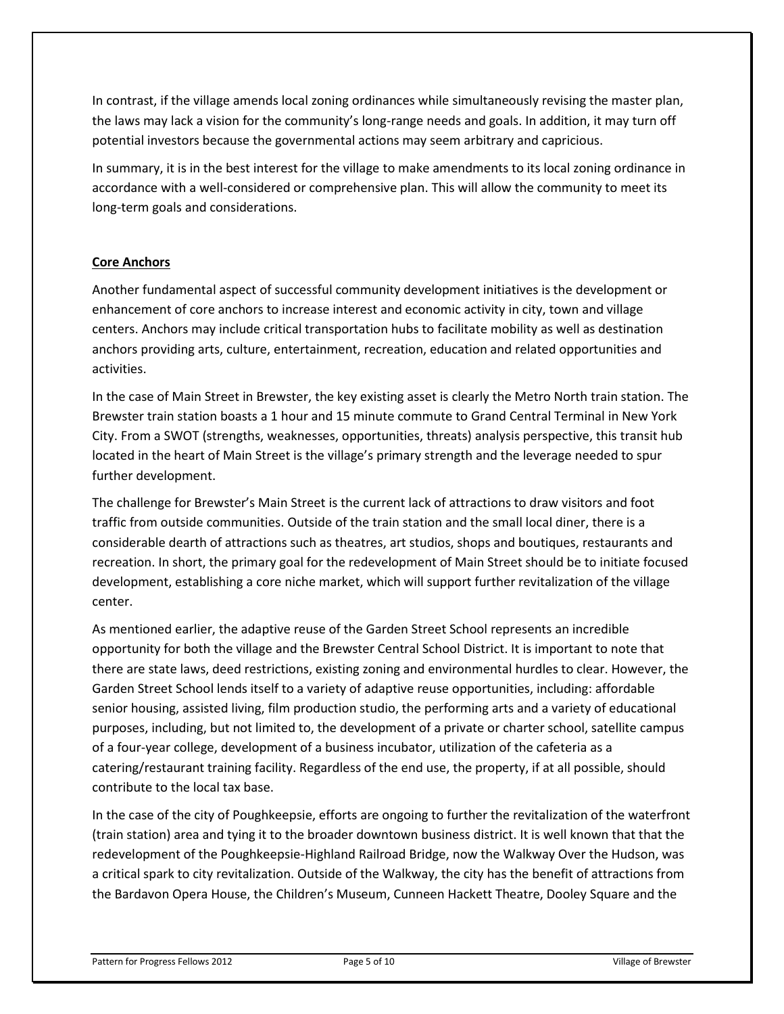In contrast, if the village amends local zoning ordinances while simultaneously revising the master plan, the laws may lack a vision for the community's long-range needs and goals. In addition, it may turn off potential investors because the governmental actions may seem arbitrary and capricious.

In summary, it is in the best interest for the village to make amendments to its local zoning ordinance in accordance with a well-considered or comprehensive plan. This will allow the community to meet its long-term goals and considerations.

# **Core Anchors**

Another fundamental aspect of successful community development initiatives is the development or enhancement of core anchors to increase interest and economic activity in city, town and village centers. Anchors may include critical transportation hubs to facilitate mobility as well as destination anchors providing arts, culture, entertainment, recreation, education and related opportunities and activities.

In the case of Main Street in Brewster, the key existing asset is clearly the Metro North train station. The Brewster train station boasts a 1 hour and 15 minute commute to Grand Central Terminal in New York City. From a SWOT (strengths, weaknesses, opportunities, threats) analysis perspective, this transit hub located in the heart of Main Street is the village's primary strength and the leverage needed to spur further development.

The challenge for Brewster's Main Street is the current lack of attractions to draw visitors and foot traffic from outside communities. Outside of the train station and the small local diner, there is a considerable dearth of attractions such as theatres, art studios, shops and boutiques, restaurants and recreation. In short, the primary goal for the redevelopment of Main Street should be to initiate focused development, establishing a core niche market, which will support further revitalization of the village center.

As mentioned earlier, the adaptive reuse of the Garden Street School represents an incredible opportunity for both the village and the Brewster Central School District. It is important to note that there are state laws, deed restrictions, existing zoning and environmental hurdles to clear. However, the Garden Street School lends itself to a variety of adaptive reuse opportunities, including: affordable senior housing, assisted living, film production studio, the performing arts and a variety of educational purposes, including, but not limited to, the development of a private or charter school, satellite campus of a four-year college, development of a business incubator, utilization of the cafeteria as a catering/restaurant training facility. Regardless of the end use, the property, if at all possible, should contribute to the local tax base.

In the case of the city of Poughkeepsie, efforts are ongoing to further the revitalization of the waterfront (train station) area and tying it to the broader downtown business district. It is well known that that the redevelopment of the Poughkeepsie-Highland Railroad Bridge, now the Walkway Over the Hudson, was a critical spark to city revitalization. Outside of the Walkway, the city has the benefit of attractions from the Bardavon Opera House, the Children's Museum, Cunneen Hackett Theatre, Dooley Square and the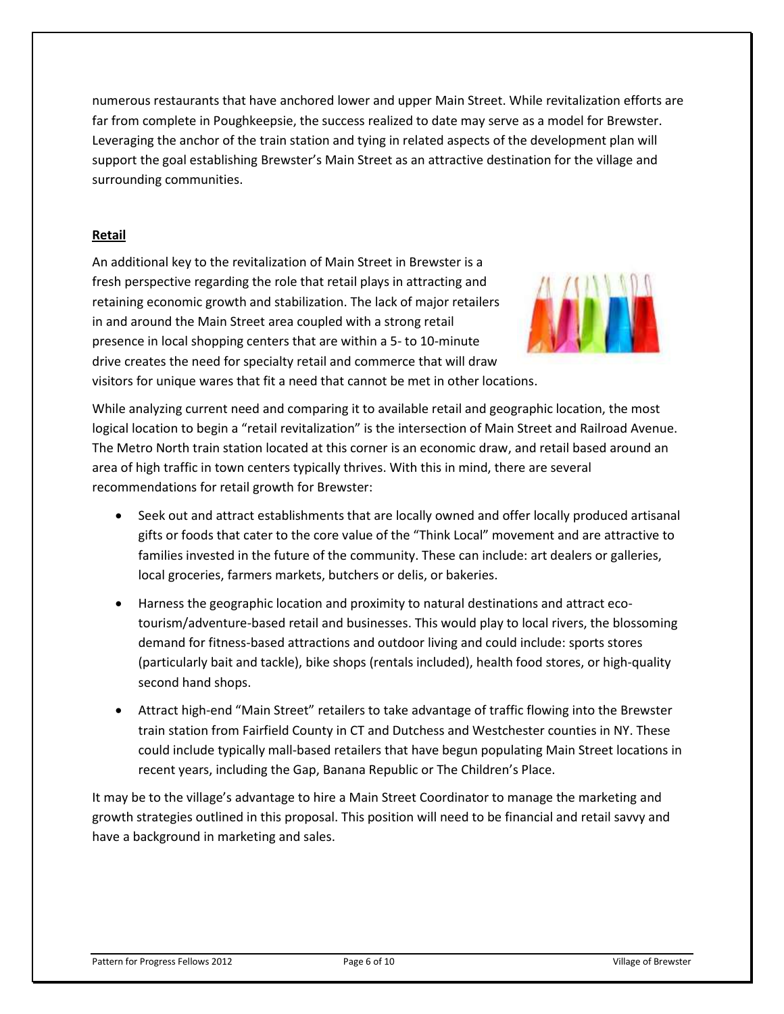numerous restaurants that have anchored lower and upper Main Street. While revitalization efforts are far from complete in Poughkeepsie, the success realized to date may serve as a model for Brewster. Leveraging the anchor of the train station and tying in related aspects of the development plan will support the goal establishing Brewster's Main Street as an attractive destination for the village and surrounding communities.

# **Retail**

An additional key to the revitalization of Main Street in Brewster is a fresh perspective regarding the role that retail plays in attracting and retaining economic growth and stabilization. The lack of major retailers in and around the Main Street area coupled with a strong retail presence in local shopping centers that are within a 5- to 10-minute drive creates the need for specialty retail and commerce that will draw visitors for unique wares that fit a need that cannot be met in other locations.



While analyzing current need and comparing it to available retail and geographic location, the most logical location to begin a "retail revitalization" is the intersection of Main Street and Railroad Avenue. The Metro North train station located at this corner is an economic draw, and retail based around an area of high traffic in town centers typically thrives. With this in mind, there are several recommendations for retail growth for Brewster:

- Seek out and attract establishments that are locally owned and offer locally produced artisanal gifts or foods that cater to the core value of the "Think Local" movement and are attractive to families invested in the future of the community. These can include: art dealers or galleries, local groceries, farmers markets, butchers or delis, or bakeries.
- Harness the geographic location and proximity to natural destinations and attract ecotourism/adventure-based retail and businesses. This would play to local rivers, the blossoming demand for fitness-based attractions and outdoor living and could include: sports stores (particularly bait and tackle), bike shops (rentals included), health food stores, or high-quality second hand shops.
- Attract high-end "Main Street" retailers to take advantage of traffic flowing into the Brewster train station from Fairfield County in CT and Dutchess and Westchester counties in NY. These could include typically mall-based retailers that have begun populating Main Street locations in recent years, including the Gap, Banana Republic or The Children's Place.

It may be to the village's advantage to hire a Main Street Coordinator to manage the marketing and growth strategies outlined in this proposal. This position will need to be financial and retail savvy and have a background in marketing and sales.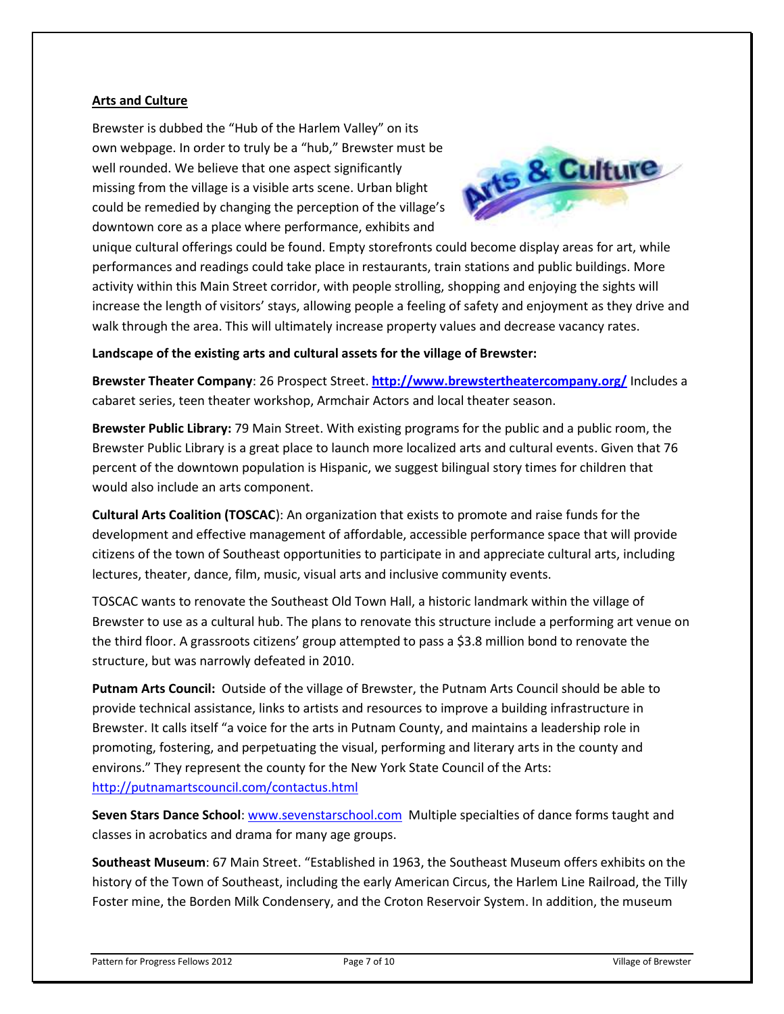#### **Arts and Culture**

Brewster is dubbed the "Hub of the Harlem Valley" on its own webpage. In order to truly be a "hub," Brewster must be well rounded. We believe that one aspect significantly missing from the village is a visible arts scene. Urban blight could be remedied by changing the perception of the village's downtown core as a place where performance, exhibits and



unique cultural offerings could be found. Empty storefronts could become display areas for art, while performances and readings could take place in restaurants, train stations and public buildings. More activity within this Main Street corridor, with people strolling, shopping and enjoying the sights will increase the length of visitors' stays, allowing people a feeling of safety and enjoyment as they drive and walk through the area. This will ultimately increase property values and decrease vacancy rates.

# **Landscape of the existing arts and cultural assets for the village of Brewster:**

**Brewster Theater Company**: 26 Prospect Street. **<http://www.brewstertheatercompany.org/>** Includes a cabaret series, teen theater workshop, Armchair Actors and local theater season.

**Brewster Public Library:** 79 Main Street. With existing programs for the public and a public room, the Brewster Public Library is a great place to launch more localized arts and cultural events. Given that 76 percent of the downtown population is Hispanic, we suggest bilingual story times for children that would also include an arts component.

**Cultural Arts Coalition (TOSCAC**): An organization that exists to promote and raise funds for the development and effective management of affordable, accessible performance space that will provide citizens of the town of Southeast opportunities to participate in and appreciate cultural arts, including lectures, theater, dance, film, music, visual arts and inclusive community events.

TOSCAC wants to renovate the Southeast Old Town Hall, a historic landmark within the village of Brewster to use as a cultural hub. The plans to renovate this structure include a performing art venue on the third floor. A grassroots citizens' group attempted to pass a \$3.8 million bond to renovate the structure, but was narrowly defeated in 2010.

**Putnam Arts Council:** Outside of the village of Brewster, the Putnam Arts Council should be able to provide technical assistance, links to artists and resources to improve a building infrastructure in Brewster. It calls itself "a voice for the arts in Putnam County, and maintains a leadership role in promoting, fostering, and perpetuating the visual, performing and literary arts in the county and environs." They represent the county for the New York State Council of the Arts: <http://putnamartscouncil.com/contactus.html>

**Seven Stars Dance School**[: www.sevenstarschool.com](http://www.sevenstarschool.com/) Multiple specialties of dance forms taught and classes in acrobatics and drama for many age groups.

**Southeast Museum**: 67 Main Street. "Established in 1963, the Southeast Museum offers exhibits on the history of the Town of Southeast, including the early American Circus, the Harlem Line Railroad, the Tilly Foster mine, the Borden Milk Condensery, and the Croton Reservoir System. In addition, the museum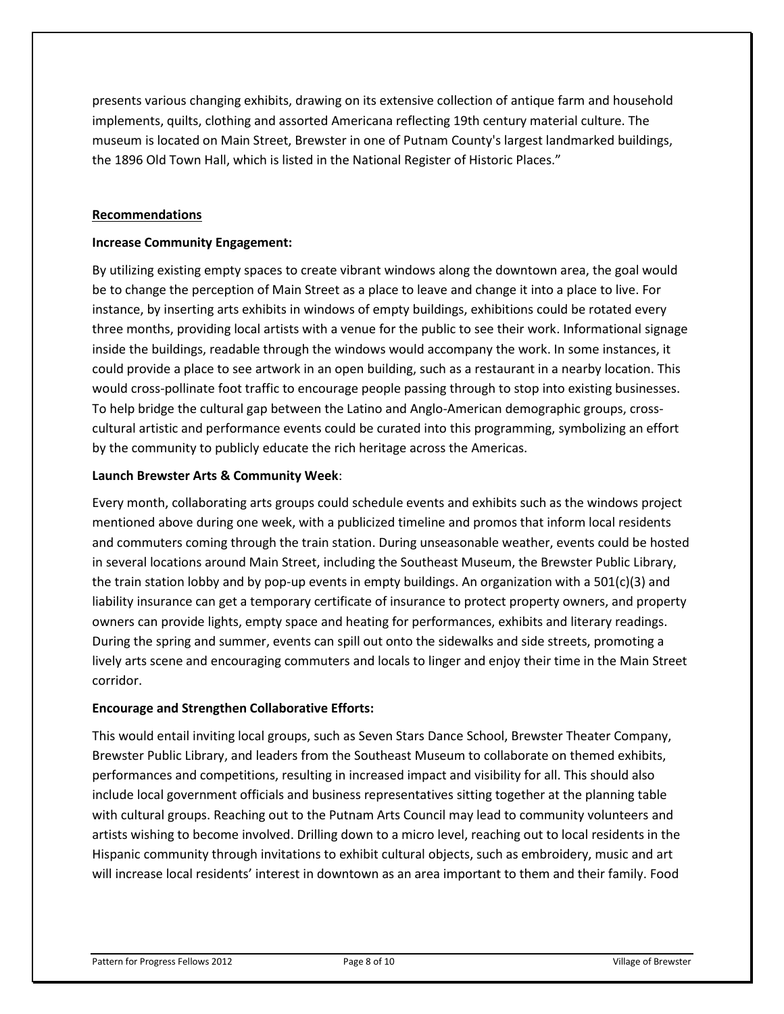presents various changing exhibits, drawing on its extensive collection of antique farm and household implements, quilts, clothing and assorted Americana reflecting 19th century material culture. The museum is located on Main Street, Brewster in one of Putnam County's largest landmarked buildings, the 1896 Old Town Hall, which is listed in the National Register of Historic Places."

#### **Recommendations**

#### **Increase Community Engagement:**

By utilizing existing empty spaces to create vibrant windows along the downtown area, the goal would be to change the perception of Main Street as a place to leave and change it into a place to live. For instance, by inserting arts exhibits in windows of empty buildings, exhibitions could be rotated every three months, providing local artists with a venue for the public to see their work. Informational signage inside the buildings, readable through the windows would accompany the work. In some instances, it could provide a place to see artwork in an open building, such as a restaurant in a nearby location. This would cross-pollinate foot traffic to encourage people passing through to stop into existing businesses. To help bridge the cultural gap between the Latino and Anglo-American demographic groups, crosscultural artistic and performance events could be curated into this programming, symbolizing an effort by the community to publicly educate the rich heritage across the Americas.

# **Launch Brewster Arts & Community Week**:

Every month, collaborating arts groups could schedule events and exhibits such as the windows project mentioned above during one week, with a publicized timeline and promos that inform local residents and commuters coming through the train station. During unseasonable weather, events could be hosted in several locations around Main Street, including the Southeast Museum, the Brewster Public Library, the train station lobby and by pop-up events in empty buildings. An organization with a 501(c)(3) and liability insurance can get a temporary certificate of insurance to protect property owners, and property owners can provide lights, empty space and heating for performances, exhibits and literary readings. During the spring and summer, events can spill out onto the sidewalks and side streets, promoting a lively arts scene and encouraging commuters and locals to linger and enjoy their time in the Main Street corridor.

#### **Encourage and Strengthen Collaborative Efforts:**

This would entail inviting local groups, such as Seven Stars Dance School, Brewster Theater Company, Brewster Public Library, and leaders from the Southeast Museum to collaborate on themed exhibits, performances and competitions, resulting in increased impact and visibility for all. This should also include local government officials and business representatives sitting together at the planning table with cultural groups. Reaching out to the Putnam Arts Council may lead to community volunteers and artists wishing to become involved. Drilling down to a micro level, reaching out to local residents in the Hispanic community through invitations to exhibit cultural objects, such as embroidery, music and art will increase local residents' interest in downtown as an area important to them and their family. Food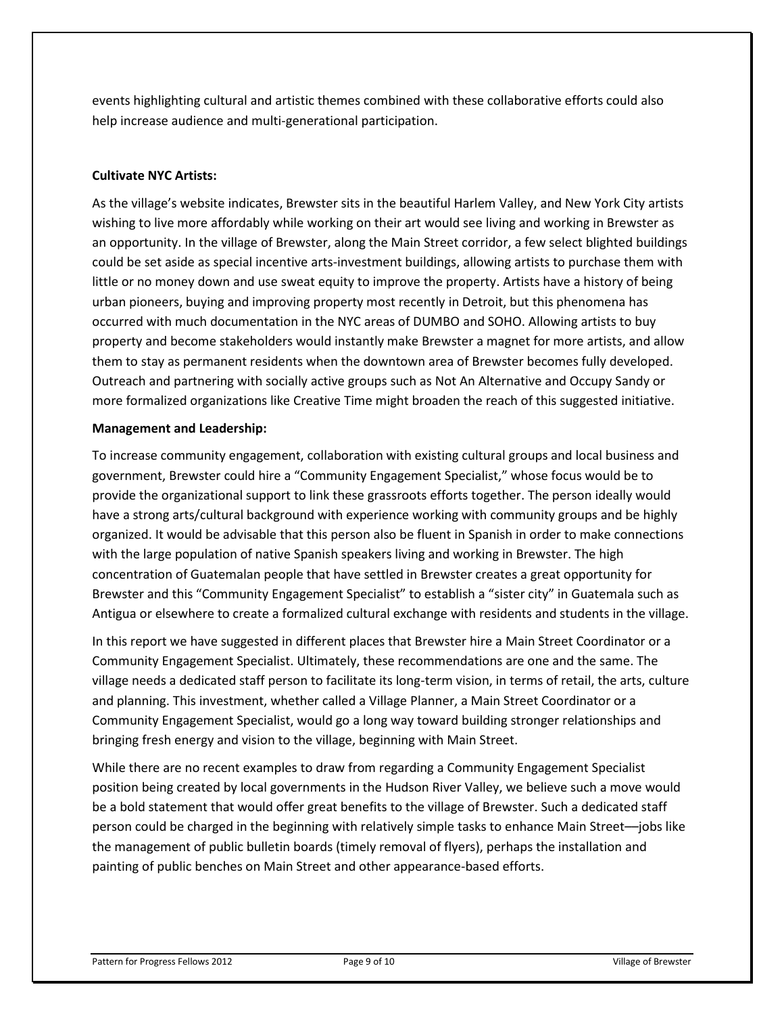events highlighting cultural and artistic themes combined with these collaborative efforts could also help increase audience and multi-generational participation.

# **Cultivate NYC Artists:**

As the village's website indicates, Brewster sits in the beautiful Harlem Valley, and New York City artists wishing to live more affordably while working on their art would see living and working in Brewster as an opportunity. In the village of Brewster, along the Main Street corridor, a few select blighted buildings could be set aside as special incentive arts-investment buildings, allowing artists to purchase them with little or no money down and use sweat equity to improve the property. Artists have a history of being urban pioneers, buying and improving property most recently in Detroit, but this phenomena has occurred with much documentation in the NYC areas of DUMBO and SOHO. Allowing artists to buy property and become stakeholders would instantly make Brewster a magnet for more artists, and allow them to stay as permanent residents when the downtown area of Brewster becomes fully developed. Outreach and partnering with socially active groups such as Not An Alternative and Occupy Sandy or more formalized organizations like Creative Time might broaden the reach of this suggested initiative.

# **Management and Leadership:**

To increase community engagement, collaboration with existing cultural groups and local business and government, Brewster could hire a "Community Engagement Specialist," whose focus would be to provide the organizational support to link these grassroots efforts together. The person ideally would have a strong arts/cultural background with experience working with community groups and be highly organized. It would be advisable that this person also be fluent in Spanish in order to make connections with the large population of native Spanish speakers living and working in Brewster. The high concentration of Guatemalan people that have settled in Brewster creates a great opportunity for Brewster and this "Community Engagement Specialist" to establish a "sister city" in Guatemala such as Antigua or elsewhere to create a formalized cultural exchange with residents and students in the village.

In this report we have suggested in different places that Brewster hire a Main Street Coordinator or a Community Engagement Specialist. Ultimately, these recommendations are one and the same. The village needs a dedicated staff person to facilitate its long-term vision, in terms of retail, the arts, culture and planning. This investment, whether called a Village Planner, a Main Street Coordinator or a Community Engagement Specialist, would go a long way toward building stronger relationships and bringing fresh energy and vision to the village, beginning with Main Street.

While there are no recent examples to draw from regarding a Community Engagement Specialist position being created by local governments in the Hudson River Valley, we believe such a move would be a bold statement that would offer great benefits to the village of Brewster. Such a dedicated staff person could be charged in the beginning with relatively simple tasks to enhance Main Street––jobs like the management of public bulletin boards (timely removal of flyers), perhaps the installation and painting of public benches on Main Street and other appearance-based efforts.